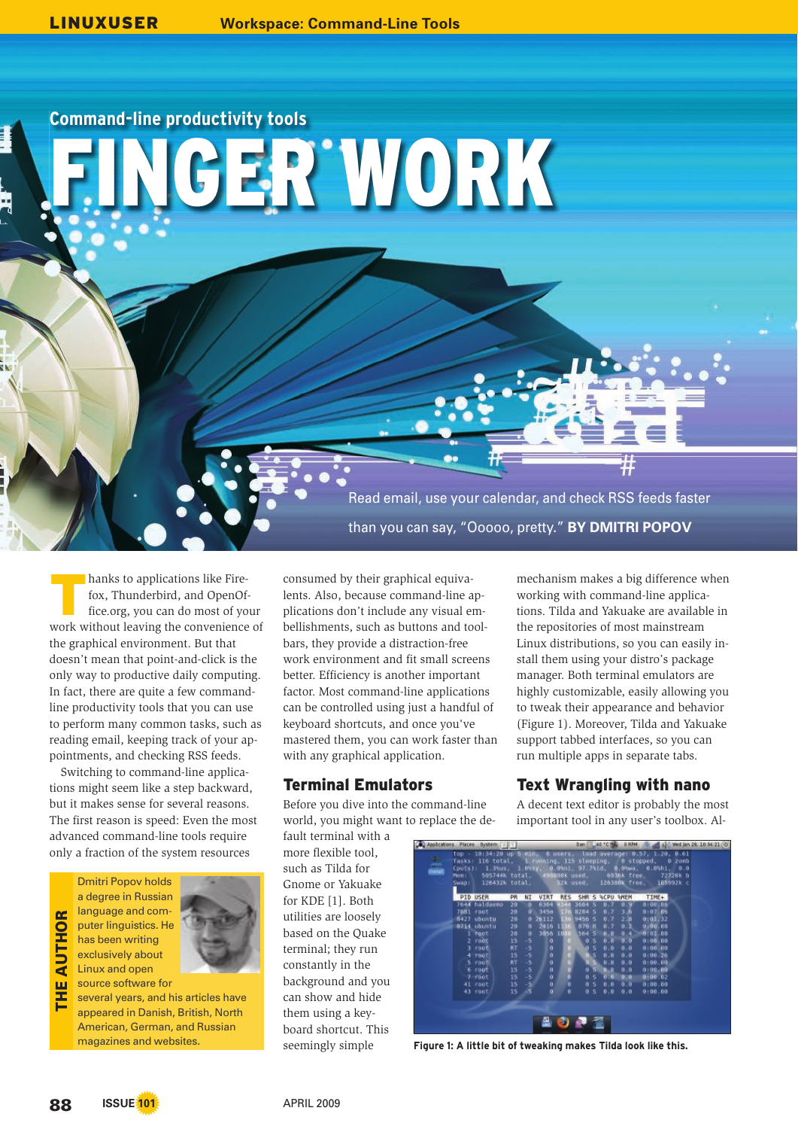**Command-line productivity tools** 

GER WORK

T hanks to applications like Firefox, Thunderbird, and OpenOffice.org, you can do most of your work without leaving the convenience of the graphical environment. But that doesn't mean that point-and-click is the only way to productive daily computing. In fact, there are quite a few commandline productivity tools that you can use to perform many common tasks, such as reading email, keeping track of your appointments, and checking RSS feeds.

Switching to command-line applications might seem like a step backward, but it makes sense for several reasons. The first reason is speed: Even the most advanced command-line tools require only a fraction of the system resources

Dmitri Popov holds a degree in Russian language and computer linguistics. He has been writing exclusively about Linux and open source software for THE AUTHOR



several years, and his articles have appeared in Danish, British, North American, German, and Russian magazines and websites.

consumed by their graphical equivalents. Also, because command-line applications don't include any visual embellishments, such as buttons and toolbars, they provide a distraction-free work environment and fit small screens better. Efficiency is another important factor. Most command-line applications can be controlled using just a handful of keyboard shortcuts, and once you've mastered them, you can work faster than with any graphical application.

# **Terminal Emulators**

Before you dive into the command-line world, you might want to replace the de-

fault terminal with a more flexible tool, such as Tilda for Gnome or Yakuake for KDE [1]. Both utilities are loosely based on the Quake terminal; they run constantly in the background and you can show and hide them using a keyboard shortcut. This seemingly simple

mechanism makes a big difference when working with command-line applications. Tilda and Yakuake are available in the repositories of most mainstream Linux distributions, so you can easily install them using your distro's package manager. Both terminal emulators are highly customizable, easily allowing you to tweak their appearance and behavior (Figure 1). Moreover, Tilda and Yakuake support tabbed interfaces, so you can run multiple apps in separate tabs.

Read email, use your calendar, and check RSS feeds faster

than you can say, "Ooooo, pretty." **BY DMITRI POPOV**

# Text Wrangling with nano

A decent text editor is probably the most important tool in any user's toolbox. Al-

| $\frac{1}{2}$ | Men: | Applications Places System      <br>505744k total<br>Swap: 126432k total, 52k used. 126380k free. |                 |              |                |            |                   |            |             | Dan 40°C 6 0 RPM | top - 10:34:20 up 5 min. 6 users. load average: 0.57, 1.20, 0.61<br>Tasks: 116 total, 1 running, 115 sleeping, # stopped, 0 zonb<br>Cputs): 1.3%us, 1.0%sy, 0.0%ml, 97.7%1d, 0.0%ma, 0.0%hi, 0.0<br>458808k used, 6936k free,<br>72720K b<br>185992k c | all 43 Wed Jan 28, 10:34:21 (d) |  |
|---------------|------|---------------------------------------------------------------------------------------------------|-----------------|--------------|----------------|------------|-------------------|------------|-------------|------------------|--------------------------------------------------------------------------------------------------------------------------------------------------------------------------------------------------------------------------------------------------------|---------------------------------|--|
|               |      | PID USER                                                                                          | PR              | NI           | VIRT           | <b>RES</b> |                   |            |             | SHR 5 ACPU WHEN  | TIME+                                                                                                                                                                                                                                                  |                                 |  |
|               |      | 7644 haldeeno                                                                                     | 20              | ۰            | 6304           | 4344       | 3684 \$           |            | <b>B.Z.</b> | $0.9^{o}$        | 9:06,06                                                                                                                                                                                                                                                |                                 |  |
|               |      | 7881 root                                                                                         | 20              | a            | 345m           | \$7n       | 8284 5            |            | 0.7         | 3.6              | 0:07.86                                                                                                                                                                                                                                                |                                 |  |
|               |      | 8427 ubuntu                                                                                       | 20              | ۰            | 26112          | m          | 9456S             |            | 0.7         | 2.8              | 0:0132                                                                                                                                                                                                                                                 |                                 |  |
|               |      | 8714 ubuntu                                                                                       | 20              | $\alpha$     | 2416           | 1156       | 876 R             |            | 8.7         | 0.2              | 0.90.88                                                                                                                                                                                                                                                |                                 |  |
|               |      | $1$ root                                                                                          | 20 <sup>°</sup> | $\bullet$    | 3056           | 1688       | 564 5             |            | 0.0         | 0.47             | 0:01.88                                                                                                                                                                                                                                                |                                 |  |
|               |      | $2$ $root$                                                                                        | 15              | $-5$         | ю              |            | 0.5.              |            | 0.0         | 0.0              | 0:00:00                                                                                                                                                                                                                                                |                                 |  |
|               |      | $J$ root                                                                                          | RT.             | -5           | ۰              |            | 0.5               |            | 0.0         | 0.0              | 0:00.00                                                                                                                                                                                                                                                |                                 |  |
|               |      | $4$ root                                                                                          | 15              | $-5^{\circ}$ | ø              |            | n a<br><b>ULS</b> |            | 0.0.        | 0.0              | 0:00.26                                                                                                                                                                                                                                                |                                 |  |
|               |      | $5$ roots                                                                                         | RT              | $-5$         |                | ٠          | ws                |            | 0.05        | 0.0              | 0:00.00                                                                                                                                                                                                                                                |                                 |  |
|               |      | 6 root<br>$7$ root                                                                                | 15<br>15        | $-5$<br>$-5$ |                | w<br>ö     |                   | 0.5<br>0.5 | 0.0<br>0.0  | 0.0<br>1910)     | 0:00.00<br>0:00.02                                                                                                                                                                                                                                     |                                 |  |
|               |      | 41 root                                                                                           | 15              | $-5$         |                | b          |                   | 0.5        | 0.8         | 0.0              | 0:00.03                                                                                                                                                                                                                                                |                                 |  |
|               |      | $-3$ root                                                                                         | 15              | -8           | $\overline{0}$ | 0          | 0.5               |            | 0.0         | 0.0              | 0:00:00                                                                                                                                                                                                                                                |                                 |  |
|               |      |                                                                                                   |                 |              |                |            | 0 P 2             |            |             |                  |                                                                                                                                                                                                                                                        |                                 |  |

Figure 1: A little bit of tweaking makes Tilda look like this.

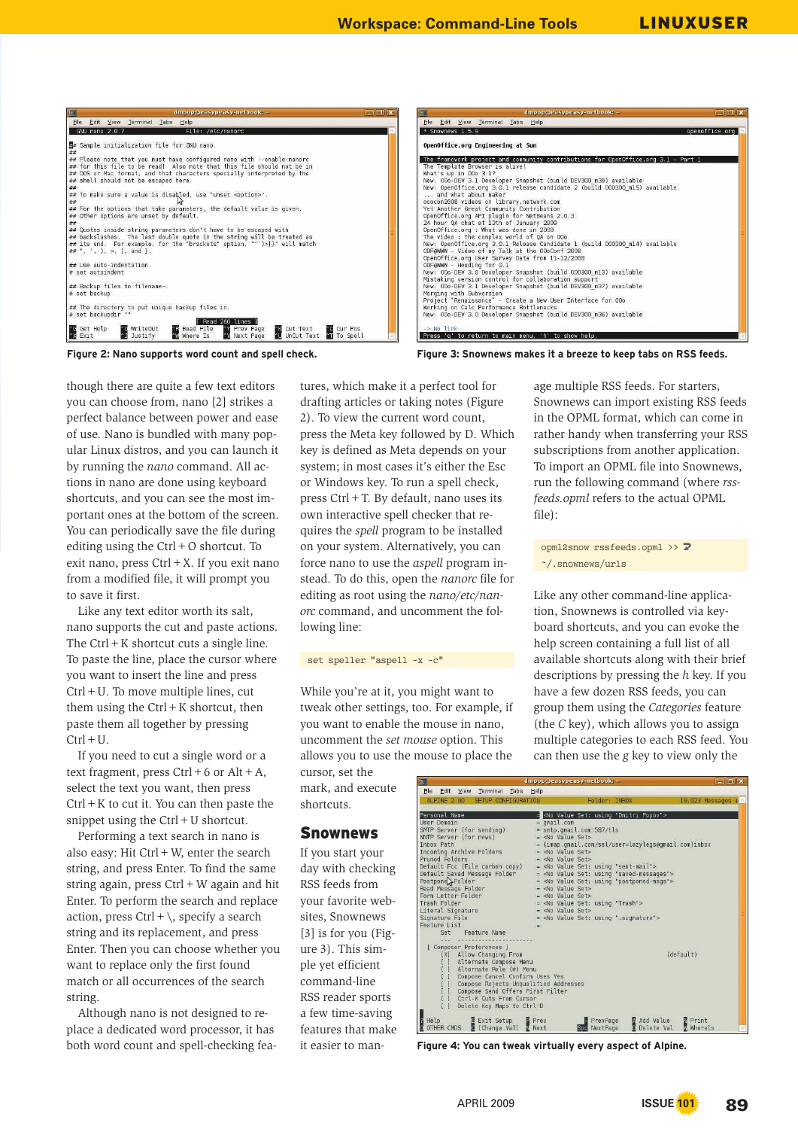| File Edit View Terminal Tabs Help<br>File Edit View Terminal Tabs Help<br>* Snownews 1.5.9<br>GNU nano 2.0.7<br>File: /etc/nanorc<br>OpenOffice.org Engineering at Sun<br>The framework project and community contributions for OpenOffice.org 3.1 - Part 1<br>The Template Browser is alive!<br>What's up in 00o 3.1?<br>New: 00o-DEV 3.1 Developer Snapshot (build DEV300_m39) available<br>New: OpenOffice.org 3.0.1 release candidate 2 (build 000300 m15) available<br>and what about make?<br>ooocon2008 videos on library.network.com<br>Yet Another Great Community Contribution<br>OpenOffice.org API plugin for NetBeans 2.0.3<br>24 hour QA chat at 13th of January 2009<br>OpenOffice.org : What was done in 2008<br>The video : the complex world of QA on OOo<br>New: OpenOffice.org 3.0.1 Release Candidate 1 (build 000300 m14) available<br>ODF@WWW - Video of my Talk at the OOoConf 2008<br>OpenOffice.org User Survey Data from 11-12/2008<br>ODF@WWW - Heading for 0.1<br>New: OOo-DEV 3.0 Developer Snapshot (build 000300 ml3) available<br>Mistaking version control for collaboration support<br>New: 00o-DEV 3.1 Developer Snapshot (build DEV300 m37) available<br>Merging with Subversion<br>Project "Renaissance" - Create a New User Interface for 000<br>Working on Calc Performance Bottlenecks<br>New: 00o-DEV 3.0 Developer Snapshot (build DEV300 m36) available<br>[ Read 260 lines ]<br>Y Prev Page<br><b>C</b> WriteOut<br><sup>o</sup> R Read File<br>^W Where Is<br><b>NK Cut Text</b><br><b>CO</b> Cur Pos<br>$\rightarrow$ No link<br><b>AJ</b> Justify<br><b>AU</b> UnCut Text <b>AU</b> To Spell<br>N Next Page<br>Press 'q' to return to main menu, 'h' to show help. | 同<br>$\Box$ $\Box$<br>$d$ mpop@easypeasy-netbook: ~ | $\Box$ $\Box$ $X$<br>$\Box$<br>dmpop@easypeasy-netbook: ~       |
|--------------------------------------------------------------------------------------------------------------------------------------------------------------------------------------------------------------------------------------------------------------------------------------------------------------------------------------------------------------------------------------------------------------------------------------------------------------------------------------------------------------------------------------------------------------------------------------------------------------------------------------------------------------------------------------------------------------------------------------------------------------------------------------------------------------------------------------------------------------------------------------------------------------------------------------------------------------------------------------------------------------------------------------------------------------------------------------------------------------------------------------------------------------------------------------------------------------------------------------------------------------------------------------------------------------------------------------------------------------------------------------------------------------------------------------------------------------------------------------------------------------------------------------------------------------------------------------------------------------------------------------------------------------------------------------------------------------------|-----------------------------------------------------|-----------------------------------------------------------------|
| Sample initialization file for GNU nano.<br>## Please note that you must have configured nano with --enable-nanorc<br>## for this file to be read! Also note that this file should not be in<br>## DOS or Mac format, and that characters specially interpreted by the<br>## shell should not be escaped here.<br>##<br>## To make sure a value is disabled, use "unset <option>".<br/>##<br/><math>\#</math> For the options that take parameters, the default value is given.<br/>## Other options are unset by default.<br/>##<br/><math>#</math> Quotes inside string parameters don't have to be escaped with<br/>## backslashes. The last double quote in the string will be treated as<br/>## its end. For example, for the "brackets" option, ""')&gt;]}" will match<br/><math>## "</math>, ', ', ), &gt;, 1, and }.<br/>## Use auto-indentation.<br/><math>#</math> set autoindent<br/>## Backup files to filename~.<br/># set backup<br/><math>#</math> The directory to put unique backup files in.<br/># set backupdir ""</option>                                                                                                                                                                                                                                                                                                                                                                                                                                                                                                                                                                                                                                                                     |                                                     |                                                                 |
|                                                                                                                                                                                                                                                                                                                                                                                                                                                                                                                                                                                                                                                                                                                                                                                                                                                                                                                                                                                                                                                                                                                                                                                                                                                                                                                                                                                                                                                                                                                                                                                                                                                                                                                    |                                                     | openoffice.org                                                  |
|                                                                                                                                                                                                                                                                                                                                                                                                                                                                                                                                                                                                                                                                                                                                                                                                                                                                                                                                                                                                                                                                                                                                                                                                                                                                                                                                                                                                                                                                                                                                                                                                                                                                                                                    |                                                     |                                                                 |
| <b>C</b> Get Help<br><b>Exit</b>                                                                                                                                                                                                                                                                                                                                                                                                                                                                                                                                                                                                                                                                                                                                                                                                                                                                                                                                                                                                                                                                                                                                                                                                                                                                                                                                                                                                                                                                                                                                                                                                                                                                                   |                                                     |                                                                 |
|                                                                                                                                                                                                                                                                                                                                                                                                                                                                                                                                                                                                                                                                                                                                                                                                                                                                                                                                                                                                                                                                                                                                                                                                                                                                                                                                                                                                                                                                                                                                                                                                                                                                                                                    |                                                     |                                                                 |
| Figure 2: Nano supports word count and spell check.                                                                                                                                                                                                                                                                                                                                                                                                                                                                                                                                                                                                                                                                                                                                                                                                                                                                                                                                                                                                                                                                                                                                                                                                                                                                                                                                                                                                                                                                                                                                                                                                                                                                |                                                     | Figure 3: Snownews makes it a breeze to keep tabs on RSS feeds. |

though there are quite a few text editors you can choose from, nano [2] strikes a perfect balance between power and ease of use. Nano is bundled with many popular Linux distros, and you can launch it by running the *nano* command. All actions in nano are done using keyboard shortcuts, and you can see the most important ones at the bottom of the screen. You can periodically save the file during editing using the  $Ctrl + O$  shortcut. To exit nano, press Ctrl+X. If you exit nano from a modified file, it will prompt you to save it first.

Like any text editor worth its salt, nano supports the cut and paste actions. The  $Ctrl + K$  shortcut cuts a single line. To paste the line, place the cursor where you want to insert the line and press Ctrl+U. To move multiple lines, cut them using the  $Ctrl + K$  shortcut, then paste them all together by pressing  $Ctrl + U.$ 

If you need to cut a single word or a text fragment, press  $Ctrl + 6$  or  $Alt + A$ , select the text you want, then press  $Ctrl + K$  to cut it. You can then paste the snippet using the  $Ctrl + U$  shortcut.

Performing a text search in nano is also easy: Hit Ctrl+W, enter the search string, and press Enter. To find the same string again, press  $Ctrl + W$  again and hit Enter. To perform the search and replace action, press  $Ctrl + \setminus$ , specify a search string and its replacement, and press Enter. Then you can choose whether you want to replace only the first found match or all occurrences of the search string.

Although nano is not designed to replace a dedicated word processor, it has both word count and spell-checking features, which make it a perfect tool for drafting articles or taking notes (Figure 2). To view the current word count, press the Meta key followed by D. Which key is defined as Meta depends on your system; in most cases it's either the Esc or Windows key. To run a spell check, press Ctrl+T. By default, nano uses its own interactive spell checker that requires the *spell* program to be installed on your system. Alternatively, you can force nano to use the *aspell* program instead. To do this, open the *nanorc* file for editing as root using the *nano/etc/nanorc* command, and uncomment the following line:

#### set speller "aspell -x -c"

While you're at it, you might want to tweak other settings, too. For example, if you want to enable the mouse in nano, uncomment the *set mouse* option. This allows you to use the mouse to place the

cursor, set the mark, and execute shortcuts.

#### Snownews

If you start your day with checking RSS feeds from your favorite websites, Snownews [3] is for you (Figure 3). This simple yet efficient command-line RSS reader sports a few time-saving features that make it easier to man-

age multiple RSS feeds. For starters, Snownews can import existing RSS feeds in the OPML format, which can come in rather handy when transferring your RSS subscriptions from another application. To import an OPML file into Snownews, run the following command (where *rssfeeds.opml* refers to the actual OPML file):

opml2snow rssfeeds.opml >>  $\triangledown$ ~/.snownews/urls

Like any other command-line application, Snownews is controlled via keyboard shortcuts, and you can evoke the help screen containing a full list of all available shortcuts along with their brief descriptions by pressing the *h* key. If you have a few dozen RSS feeds, you can group them using the *Categories* feature (the *C* key), which allows you to assign multiple categories to each RSS feed. You can then use the *g* key to view only the

| ALPINE 2.00<br>SETUP CONFIGURATION                                            |                                                      | Folder: INBOX |                                                            | $19,023$ Messages + |
|-------------------------------------------------------------------------------|------------------------------------------------------|---------------|------------------------------------------------------------|---------------------|
| Personal Name                                                                 |                                                      |               | = <no "dmitri="" popov"="" set:="" using="" value=""></no> |                     |
| User Domain                                                                   | $=$ qmail.com                                        |               |                                                            |                     |
| SMTP Server (for sending)                                                     | = smtp.qmail.com:587/tls                             |               |                                                            |                     |
| NNTP Server (for news)                                                        | $=$ <no set="" value=""></no>                        |               |                                                            |                     |
| <b>Inbox Path</b>                                                             |                                                      |               | = {imap.qmail.com/ssl/user=lazylegs@qmail.com}inbox        |                     |
| Incoming Archive Folders                                                      | $=$ <no set="" value=""></no>                        |               |                                                            |                     |
| Pruned Folders                                                                | $=$ <no set="" value=""></no>                        |               |                                                            |                     |
| Default Fcc (File carbon copy)                                                | = <no "sent-mail"="" set:="" using="" value=""></no> |               |                                                            |                     |
| Default Saved Message Folder                                                  |                                                      |               | = <no "saved-messages"="" set:="" using="" value=""></no>  |                     |
| Postpone Folder                                                               |                                                      |               | = <no "postponed-msgs"="" set:="" using="" value=""></no>  |                     |
| Read Message Folder                                                           | $=$ <no set="" value=""></no>                        |               |                                                            |                     |
| Form Letter Folder                                                            | = <no set="" value=""></no>                          |               |                                                            |                     |
| Trash Folder                                                                  | = <no "trash"="" set:="" using="" value=""></no>     |               |                                                            |                     |
| Literal Signature                                                             | $=$ <no set="" value=""></no>                        |               |                                                            |                     |
| Signature File                                                                |                                                      |               | = <no ".signature"="" set:="" using="" value=""></no>      |                     |
| Feature List                                                                  | $\equiv$                                             |               |                                                            |                     |
| Set Feature Name                                                              |                                                      |               |                                                            |                     |
|                                                                               |                                                      |               |                                                            |                     |
| [ Composer Preferences ]                                                      |                                                      |               |                                                            | (default)           |
| [X] Allow Changing From                                                       |                                                      |               |                                                            |                     |
| Alternate Compose Menu                                                        |                                                      |               |                                                            |                     |
| Alternate Role (#) Menu                                                       |                                                      |               |                                                            |                     |
| Compose Cancel Confirm Uses Yes                                               |                                                      |               |                                                            |                     |
| ] Compose Rejects Unqualified Addresses<br>] Compose Send Offers First Filter |                                                      |               |                                                            |                     |
| 1 Ctrl-K Cuts From Cursor                                                     |                                                      |               |                                                            |                     |
|                                                                               |                                                      |               |                                                            |                     |
| [ ] Delete Key Maps to Ctrl-D                                                 |                                                      |               |                                                            |                     |

Figure 4: You can tweak virtually every aspect of Alpine.